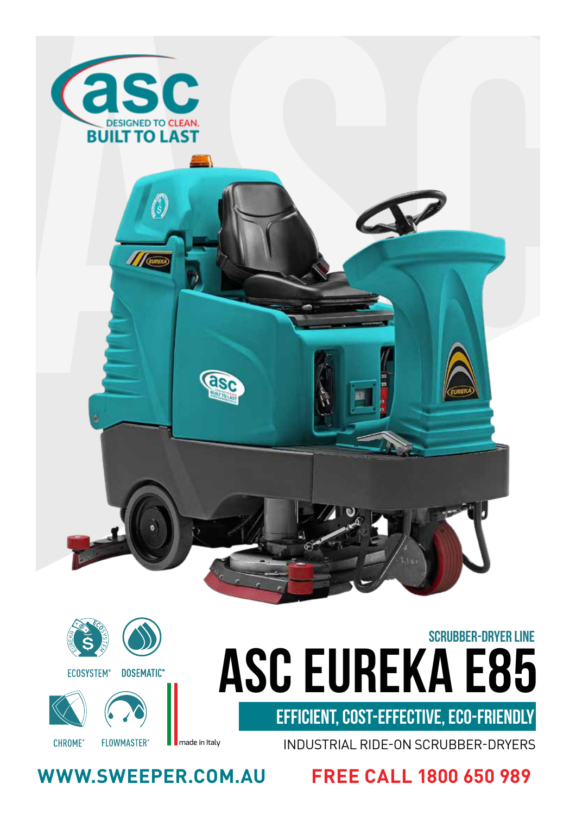

# **asc eureka E85** SCRUBBER-DRYER LINE

EFFICIENT, COST-EFFECTIVE, ECO-FRIENDLY

INDUSTRIAL RIDE-ON SCRUBBER-DRYERS

**WWW.SWEEPER.COM.AU FREE CALL 1800 650 989**

**FLOWMASTER®** 

**DOSEMATIC®** 

**ECOSYSTEM®** 

**CHROME®** 

made in Italy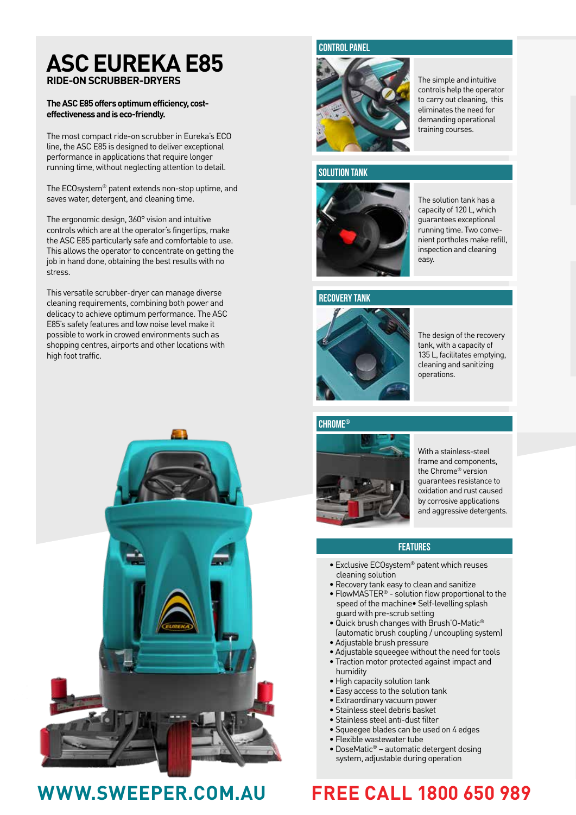## **ASC EUREKA E85 RIDE-ON SCRUBBER-DRYERS**

#### **The ASC E85 offers optimum efficiency, costeffectiveness and is eco-friendly.**

The most compact ride-on scrubber in Eureka's ECO line, the ASC E85 is designed to deliver exceptional performance in applications that require longer running time, without neglecting attention to detail.

The ECOsystem® patent extends non-stop uptime, and saves water, detergent, and cleaning time.

The ergonomic design, 360° vision and intuitive controls which are at the operator's fingertips, make the ASC E85 particularly safe and comfortable to use. This allows the operator to concentrate on getting the job in hand done, obtaining the best results with no stress.

This versatile scrubber-dryer can manage diverse cleaning requirements, combining both power and delicacy to achieve optimum performance. The ASC E85's safety features and low noise level make it possible to work in crowed environments such as shopping centres, airports and other locations with high foot traffic.





The simple and intuitive controls help the operator to carry out cleaning, this eliminates the need for demanding operational training courses.

#### **SOLUTION TANK**

**CONTROL PANEL**



tive<br>tractor<br>, this<br>for<br>and<br>and<br>and<br>and<br>refill,<br>ing<br>times refill,<br>onlying,<br>onlying,<br>and<br>thying,<br>and<br>thying,<br> $\frac{1}{2}$ <br>if this is allocated by the state of the state of the state of the state of the state of the state of th The solution tank has a capacity of 120 L, which guarantees exceptional running time. Two convenient portholes make refill, inspection and cleaning easy.

## **RECOVERY TANK**



The design of the recovery tank, with a capacity of 135 L, facilitates emptying, cleaning and sanitizing operations.

## **CHROME®**



With a stainless-steel frame and components, the Chrome® version guarantees resistance to oxidation and rust caused by corrosive applications and aggressive detergents.

### **FEATURES**

- Exclusive ECOsystem® patent which reuses cleaning solution
- Recovery tank easy to clean and sanitize
- FlowMASTER<sup>®</sup> solution flow proportional to the speed of the machine• Self-levelling splash guard with pre-scrub setting
- Quick brush changes with Brush'O-Matic® (automatic brush coupling / uncoupling system)
- Adjustable brush pressure
- Adjustable squeegee without the need for tools
- Traction motor protected against impact and humidity
- High capacity solution tank
- Easy access to the solution tank
- Extraordinary vacuum power
- Stainless steel debris basket • Stainless steel anti-dust filter
- Squeegee blades can be used on 4 edges
- Flexible wastewater tube
- DoseMatic® automatic detergent dosing
- system, adjustable during operation

# **WWW.SWEEPER.COM.AU FREE CALL 1800 650 989**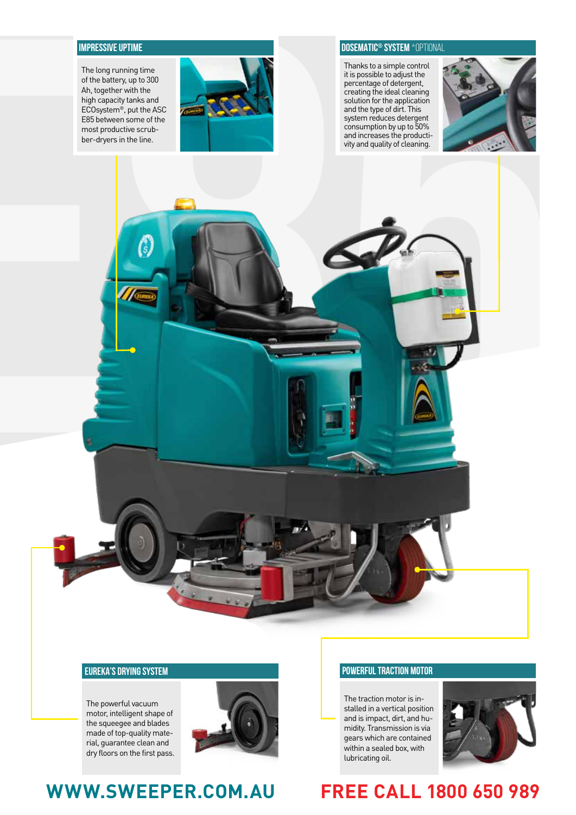The long running time of the battery, up to 300 Ah, together with the high capacity tanks and ECOsystem®, put the ASC E85 between some of the most productive scrubber-dryers in the line.



#### **IMPRESSIVE UPTIME DOSEMATIC® SYSTEM \***optional

Thanks to a simple control it is possible to adjust the percentage of detergent, creating the ideal cleaning solution for the application and the type of dirt. This system reduces detergent consumption by up to 50% and increases the productivity and quality of cleaning.



#### **EUREKA'S DRYING SYSTEM POWERFUL TRACTION MOTOR**

The powerful vacuum motor, intelligent shape of the squeegee and blades made of top-quality material, guarantee clean and dry floors on the first pass.



The traction motor is installed in a vertical position and is impact, dirt, and humidity. Transmission is via gears which are contained within a sealed box, with lubricating oil.



# **WWW.SWEEPER.COM.AU FREE CALL 1800 650 989**